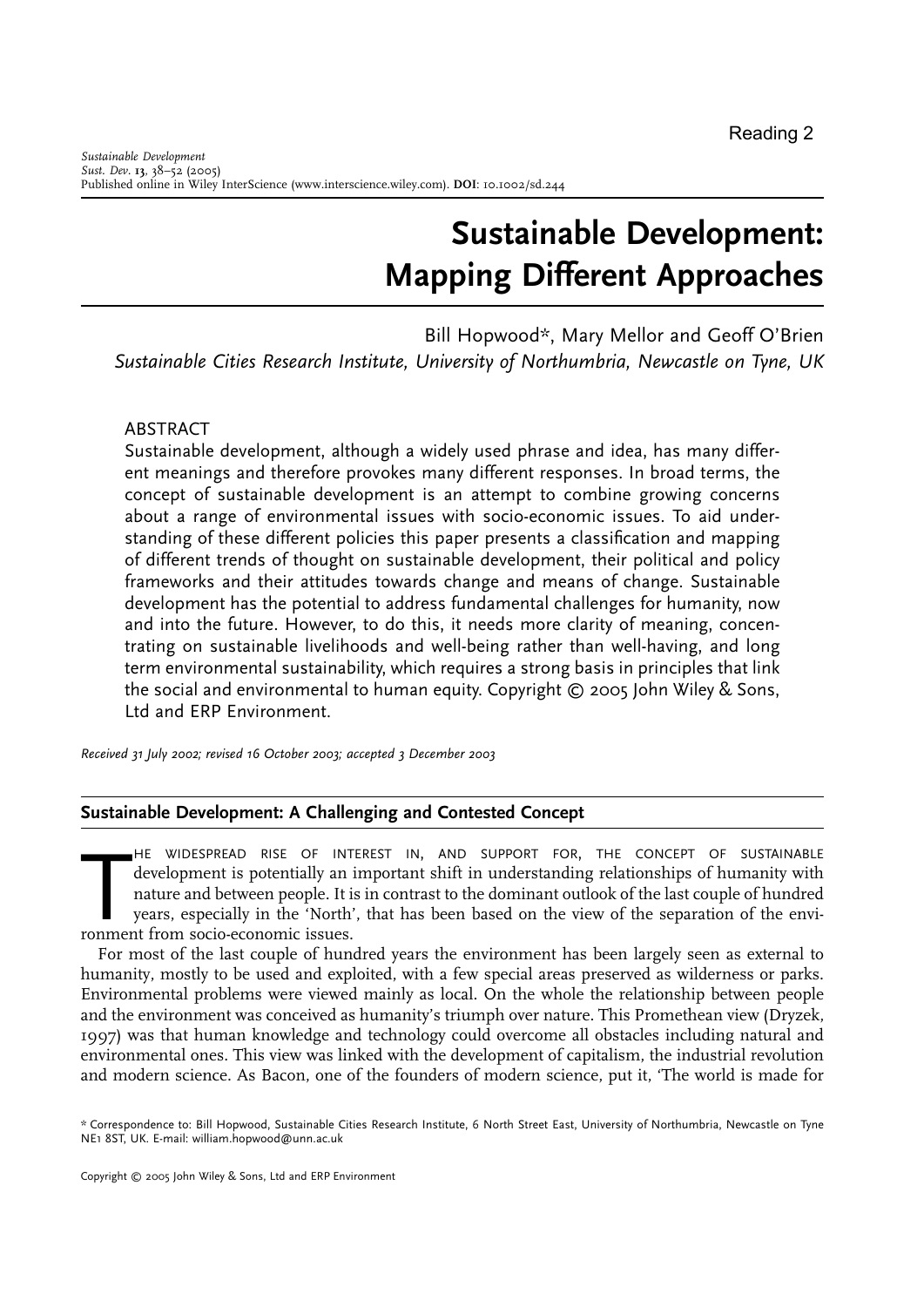# **Sustainable Development: Mapping Different Approaches**

Bill Hopwood\*, Mary Mellor and Geoff O'Brien *Sustainable Cities Research Institute, University of Northumbria, Newcastle on Tyne, UK*

#### ABSTRACT

Sustainable development, although a widely used phrase and idea, has many different meanings and therefore provokes many different responses. In broad terms, the concept of sustainable development is an attempt to combine growing concerns about a range of environmental issues with socio-economic issues. To aid understanding of these different policies this paper presents a classification and mapping of different trends of thought on sustainable development, their political and policy frameworks and their attitudes towards change and means of change. Sustainable development has the potential to address fundamental challenges for humanity, now and into the future. However, to do this, it needs more clarity of meaning, concentrating on sustainable livelihoods and well-being rather than well-having, and long term environmental sustainability, which requires a strong basis in principles that link the social and environmental to human equity. Copyright © 2005 John Wiley & Sons, Ltd and ERP Environment.

*Received 31 July 2002; revised 16 October 2003; accepted 3 December 2003*

#### **Sustainable Development: A Challenging and Contested Concept**

HE WIDESPREAD RISE OF INT<br>development is potentially an<br>nature and between people. It i<br>years, especially in the 'North<br>ronment from socio-economic issues. HE WIDESPREAD RISE OF INTEREST IN, AND SUPPORT FOR, THE CONCEPT OF SUSTAINABLE development is potentially an important shift in understanding relationships of humanity with nature and between people. It is in contrast to the dominant outlook of the last couple of hundred years, especially in the 'North', that has been based on the view of the separation of the envi-

For most of the last couple of hundred years the environment has been largely seen as external to humanity, mostly to be used and exploited, with a few special areas preserved as wilderness or parks. Environmental problems were viewed mainly as local. On the whole the relationship between people and the environment was conceived as humanity's triumph over nature. This Promethean view (Dryzek, 1997) was that human knowledge and technology could overcome all obstacles including natural and environmental ones. This view was linked with the development of capitalism, the industrial revolution and modern science. As Bacon, one of the founders of modern science, put it, 'The world is made for

<sup>\*</sup> Correspondence to: Bill Hopwood, Sustainable Cities Research Institute, 6 North Street East, University of Northumbria, Newcastle on Tyne NE1 8ST, UK. E-mail: william.hopwood@unn.ac.uk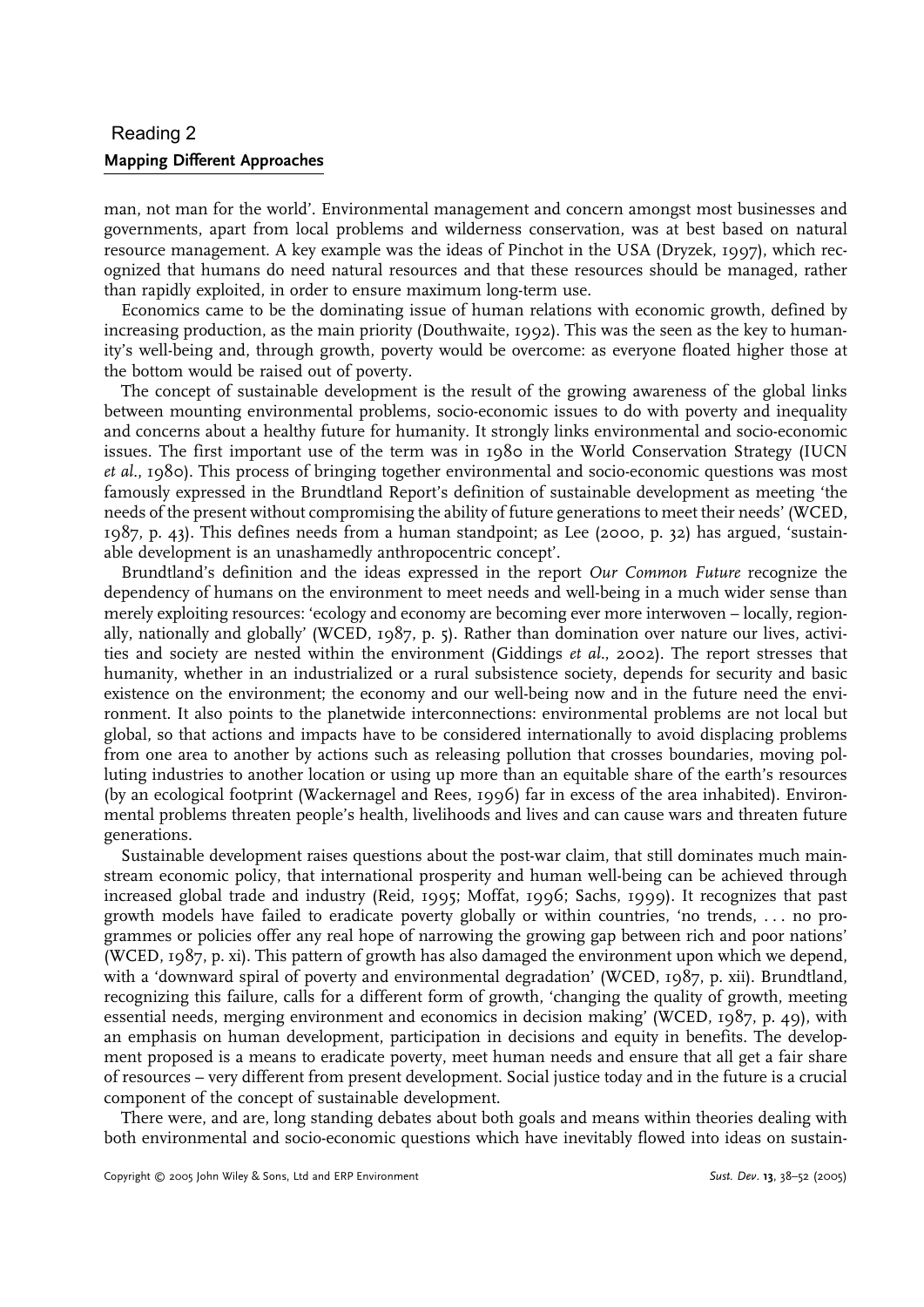man, not man for the world'. Environmental management and concern amongst most businesses and governments, apart from local problems and wilderness conservation, was at best based on natural resource management. A key example was the ideas of Pinchot in the USA (Dryzek, 1997), which recognized that humans do need natural resources and that these resources should be managed, rather than rapidly exploited, in order to ensure maximum long-term use.

Economics came to be the dominating issue of human relations with economic growth, defined by increasing production, as the main priority (Douthwaite, 1992). This was the seen as the key to humanity's well-being and, through growth, poverty would be overcome: as everyone floated higher those at the bottom would be raised out of poverty.

The concept of sustainable development is the result of the growing awareness of the global links between mounting environmental problems, socio-economic issues to do with poverty and inequality and concerns about a healthy future for humanity. It strongly links environmental and socio-economic issues. The first important use of the term was in 1980 in the World Conservation Strategy (IUCN *et al.*, 1980). This process of bringing together environmental and socio-economic questions was most famously expressed in the Brundtland Report's definition of sustainable development as meeting 'the needs of the present without compromising the ability of future generations to meet their needs' (WCED, 1987, p. 43). This defines needs from a human standpoint; as Lee (2000, p. 32) has argued, 'sustainable development is an unashamedly anthropocentric concept'.

Brundtland's definition and the ideas expressed in the report *Our Common Future* recognize the dependency of humans on the environment to meet needs and well-being in a much wider sense than merely exploiting resources: 'ecology and economy are becoming ever more interwoven – locally, regionally, nationally and globally' (WCED, 1987, p. 5). Rather than domination over nature our lives, activities and society are nested within the environment (Giddings *et al.*, 2002). The report stresses that humanity, whether in an industrialized or a rural subsistence society, depends for security and basic existence on the environment; the economy and our well-being now and in the future need the environment. It also points to the planetwide interconnections: environmental problems are not local but global, so that actions and impacts have to be considered internationally to avoid displacing problems from one area to another by actions such as releasing pollution that crosses boundaries, moving polluting industries to another location or using up more than an equitable share of the earth's resources (by an ecological footprint (Wackernagel and Rees, 1996) far in excess of the area inhabited). Environmental problems threaten people's health, livelihoods and lives and can cause wars and threaten future generations.

Sustainable development raises questions about the post-war claim, that still dominates much mainstream economic policy, that international prosperity and human well-being can be achieved through increased global trade and industry (Reid, 1995; Moffat, 1996; Sachs, 1999). It recognizes that past growth models have failed to eradicate poverty globally or within countries, 'no trends, . . . no programmes or policies offer any real hope of narrowing the growing gap between rich and poor nations' (WCED, 1987, p. xi). This pattern of growth has also damaged the environment upon which we depend, with a 'downward spiral of poverty and environmental degradation' (WCED, 1987, p. xii). Brundtland, recognizing this failure, calls for a different form of growth, 'changing the quality of growth, meeting essential needs, merging environment and economics in decision making' (WCED, 1987, p. 49), with an emphasis on human development, participation in decisions and equity in benefits. The development proposed is a means to eradicate poverty, meet human needs and ensure that all get a fair share of resources – very different from present development. Social justice today and in the future is a crucial component of the concept of sustainable development.

There were, and are, long standing debates about both goals and means within theories dealing with both environmental and socio-economic questions which have inevitably flowed into ideas on sustain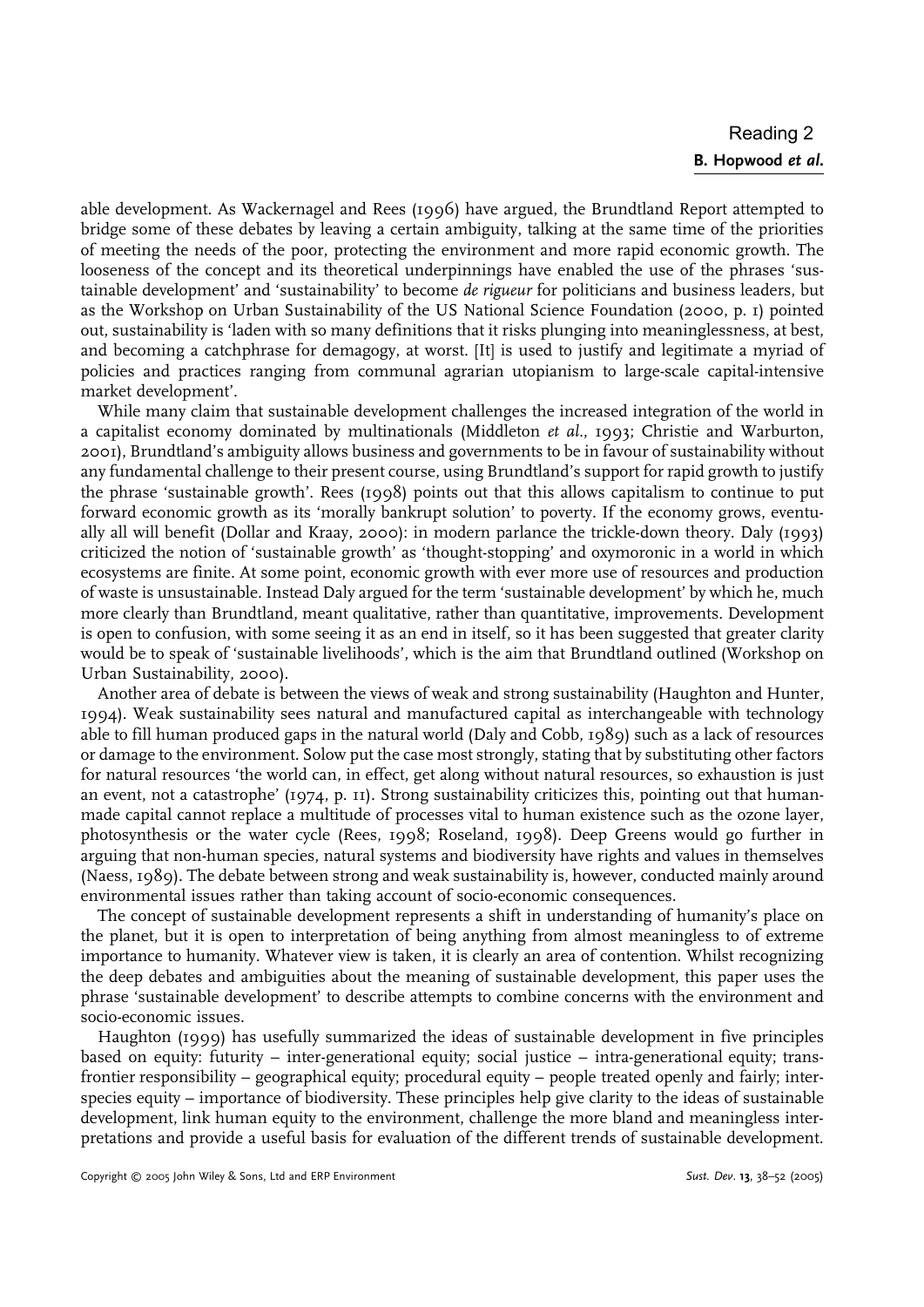able development. As Wackernagel and Rees (1996) have argued, the Brundtland Report attempted to bridge some of these debates by leaving a certain ambiguity, talking at the same time of the priorities of meeting the needs of the poor, protecting the environment and more rapid economic growth. The looseness of the concept and its theoretical underpinnings have enabled the use of the phrases 'sustainable development' and 'sustainability' to become *de rigueur* for politicians and business leaders, but as the Workshop on Urban Sustainability of the US National Science Foundation (2000, p. 1) pointed out, sustainability is 'laden with so many definitions that it risks plunging into meaninglessness, at best, and becoming a catchphrase for demagogy, at worst. [It] is used to justify and legitimate a myriad of policies and practices ranging from communal agrarian utopianism to large-scale capital-intensive market development'.

While many claim that sustainable development challenges the increased integration of the world in a capitalist economy dominated by multinationals (Middleton *et al.*, 1993; Christie and Warburton, 2001), Brundtland's ambiguity allows business and governments to be in favour of sustainability without any fundamental challenge to their present course, using Brundtland's support for rapid growth to justify the phrase 'sustainable growth'. Rees (1998) points out that this allows capitalism to continue to put forward economic growth as its 'morally bankrupt solution' to poverty. If the economy grows, eventually all will benefit (Dollar and Kraay, 2000): in modern parlance the trickle-down theory. Daly (1993) criticized the notion of 'sustainable growth' as 'thought-stopping' and oxymoronic in a world in which ecosystems are finite. At some point, economic growth with ever more use of resources and production of waste is unsustainable. Instead Daly argued for the term 'sustainable development' by which he, much more clearly than Brundtland, meant qualitative, rather than quantitative, improvements. Development is open to confusion, with some seeing it as an end in itself, so it has been suggested that greater clarity would be to speak of 'sustainable livelihoods', which is the aim that Brundtland outlined (Workshop on Urban Sustainability, 2000).

Another area of debate is between the views of weak and strong sustainability (Haughton and Hunter, 1994). Weak sustainability sees natural and manufactured capital as interchangeable with technology able to fill human produced gaps in the natural world (Daly and Cobb, 1989) such as a lack of resources or damage to the environment. Solow put the case most strongly, stating that by substituting other factors for natural resources 'the world can, in effect, get along without natural resources, so exhaustion is just an event, not a catastrophe' (1974, p. 11). Strong sustainability criticizes this, pointing out that humanmade capital cannot replace a multitude of processes vital to human existence such as the ozone layer, photosynthesis or the water cycle (Rees, 1998; Roseland, 1998). Deep Greens would go further in arguing that non-human species, natural systems and biodiversity have rights and values in themselves (Naess, 1989). The debate between strong and weak sustainability is, however, conducted mainly around environmental issues rather than taking account of socio-economic consequences.

The concept of sustainable development represents a shift in understanding of humanity's place on the planet, but it is open to interpretation of being anything from almost meaningless to of extreme importance to humanity. Whatever view is taken, it is clearly an area of contention. Whilst recognizing the deep debates and ambiguities about the meaning of sustainable development, this paper uses the phrase 'sustainable development' to describe attempts to combine concerns with the environment and socio-economic issues.

Haughton (1999) has usefully summarized the ideas of sustainable development in five principles based on equity: futurity – inter-generational equity; social justice – intra-generational equity; transfrontier responsibility – geographical equity; procedural equity – people treated openly and fairly; interspecies equity – importance of biodiversity. These principles help give clarity to the ideas of sustainable development, link human equity to the environment, challenge the more bland and meaningless interpretations and provide a useful basis for evaluation of the different trends of sustainable development.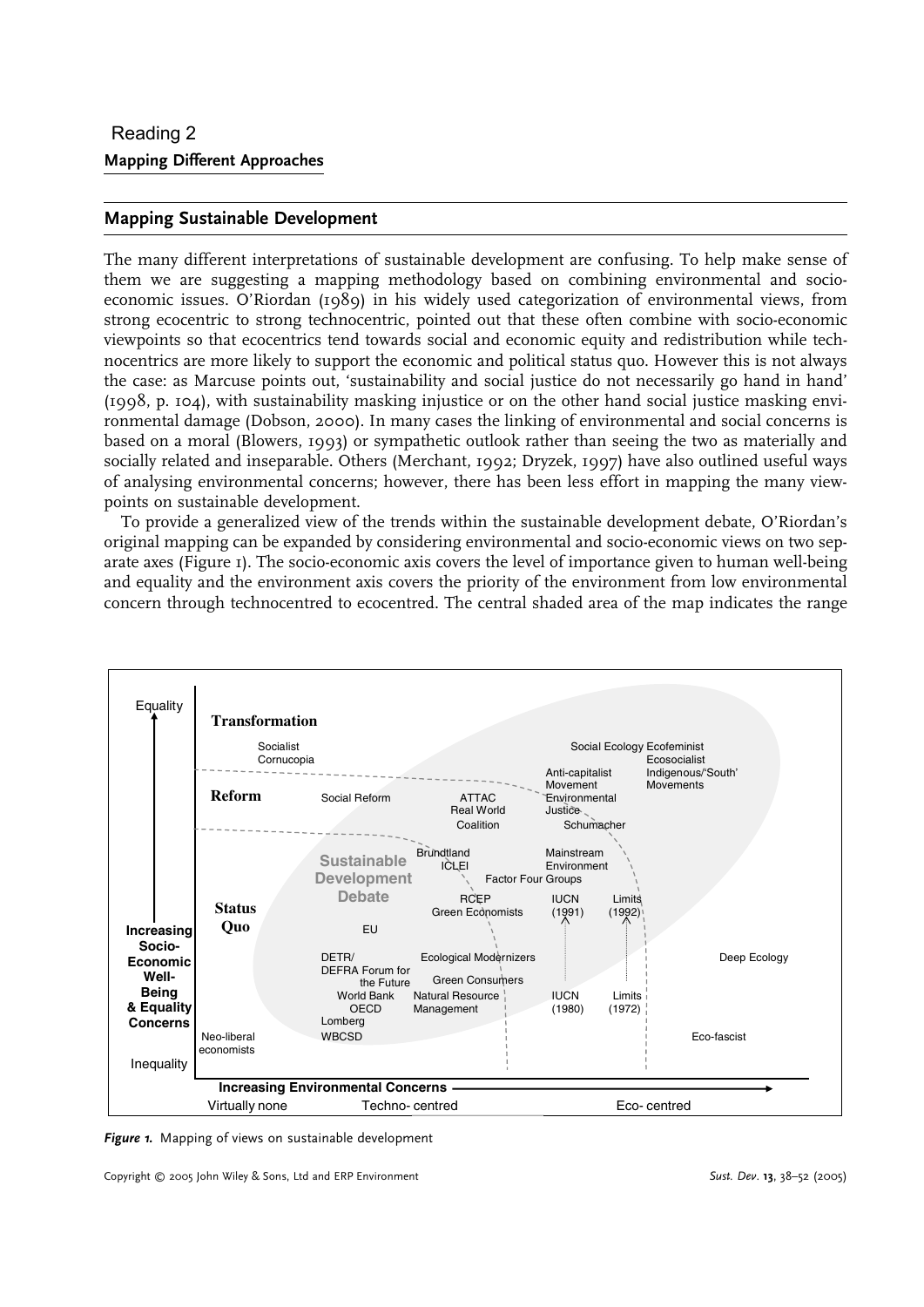#### **Mapping Sustainable Development**

The many different interpretations of sustainable development are confusing. To help make sense of them we are suggesting a mapping methodology based on combining environmental and socioeconomic issues. O'Riordan (1989) in his widely used categorization of environmental views, from strong ecocentric to strong technocentric, pointed out that these often combine with socio-economic viewpoints so that ecocentrics tend towards social and economic equity and redistribution while technocentrics are more likely to support the economic and political status quo. However this is not always the case: as Marcuse points out, 'sustainability and social justice do not necessarily go hand in hand' (1998, p. 104), with sustainability masking injustice or on the other hand social justice masking environmental damage (Dobson, 2000). In many cases the linking of environmental and social concerns is based on a moral (Blowers, 1993) or sympathetic outlook rather than seeing the two as materially and socially related and inseparable. Others (Merchant, 1992; Dryzek, 1997) have also outlined useful ways of analysing environmental concerns; however, there has been less effort in mapping the many viewpoints on sustainable development.

To provide a generalized view of the trends within the sustainable development debate, O'Riordan's original mapping can be expanded by considering environmental and socio-economic views on two separate axes (Figure 1). The socio-economic axis covers the level of importance given to human well-being and equality and the environment axis covers the priority of the environment from low environmental concern through technocentred to ecocentred. The central shaded area of the map indicates the range





Copyright © 2005 John Wiley & Sons, Ltd and ERP Environment *Sust. Dev*. **13**, 38–52 (2005)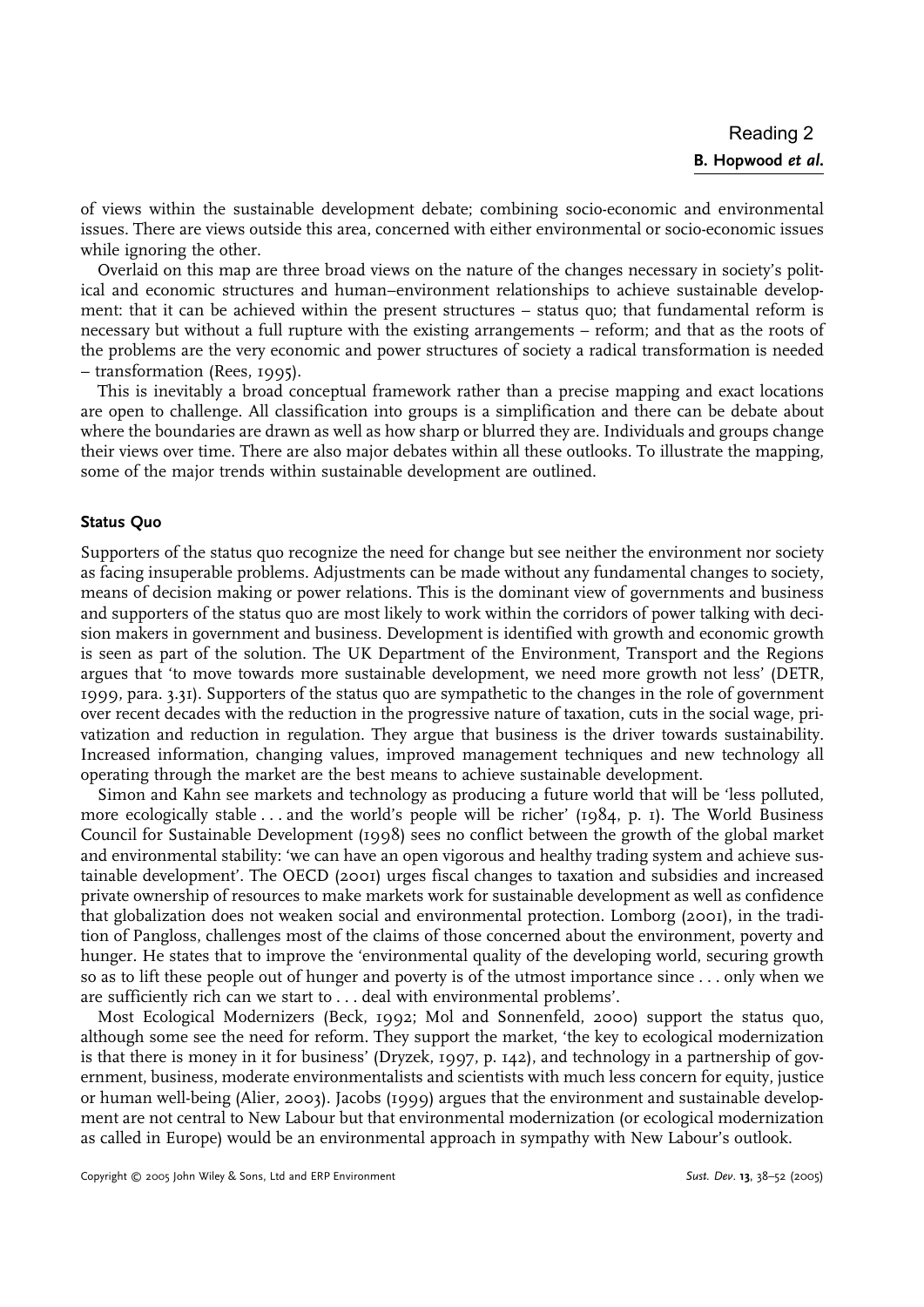of views within the sustainable development debate; combining socio-economic and environmental issues. There are views outside this area, concerned with either environmental or socio-economic issues while ignoring the other.

Overlaid on this map are three broad views on the nature of the changes necessary in society's political and economic structures and human–environment relationships to achieve sustainable development: that it can be achieved within the present structures – status quo; that fundamental reform is necessary but without a full rupture with the existing arrangements – reform; and that as the roots of the problems are the very economic and power structures of society a radical transformation is needed – transformation (Rees, 1995).

This is inevitably a broad conceptual framework rather than a precise mapping and exact locations are open to challenge. All classification into groups is a simplification and there can be debate about where the boundaries are drawn as well as how sharp or blurred they are. Individuals and groups change their views over time. There are also major debates within all these outlooks. To illustrate the mapping, some of the major trends within sustainable development are outlined.

#### **Status Quo**

Supporters of the status quo recognize the need for change but see neither the environment nor society as facing insuperable problems. Adjustments can be made without any fundamental changes to society, means of decision making or power relations. This is the dominant view of governments and business and supporters of the status quo are most likely to work within the corridors of power talking with decision makers in government and business. Development is identified with growth and economic growth is seen as part of the solution. The UK Department of the Environment, Transport and the Regions argues that 'to move towards more sustainable development, we need more growth not less' (DETR, 1999, para. 3.31). Supporters of the status quo are sympathetic to the changes in the role of government over recent decades with the reduction in the progressive nature of taxation, cuts in the social wage, privatization and reduction in regulation. They argue that business is the driver towards sustainability. Increased information, changing values, improved management techniques and new technology all operating through the market are the best means to achieve sustainable development.

Simon and Kahn see markets and technology as producing a future world that will be 'less polluted, more ecologically stable... and the world's people will be richer' ( $1984$ , p. 1). The World Business Council for Sustainable Development (1998) sees no conflict between the growth of the global market and environmental stability: 'we can have an open vigorous and healthy trading system and achieve sustainable development'. The OECD (2001) urges fiscal changes to taxation and subsidies and increased private ownership of resources to make markets work for sustainable development as well as confidence that globalization does not weaken social and environmental protection. Lomborg (2001), in the tradition of Pangloss, challenges most of the claims of those concerned about the environment, poverty and hunger. He states that to improve the 'environmental quality of the developing world, securing growth so as to lift these people out of hunger and poverty is of the utmost importance since... only when we are sufficiently rich can we start to . . . deal with environmental problems'.

Most Ecological Modernizers (Beck, 1992; Mol and Sonnenfeld, 2000) support the status quo, although some see the need for reform. They support the market, 'the key to ecological modernization is that there is money in it for business' (Dryzek, 1997, p. 142), and technology in a partnership of government, business, moderate environmentalists and scientists with much less concern for equity, justice or human well-being (Alier, 2003). Jacobs (1999) argues that the environment and sustainable development are not central to New Labour but that environmental modernization (or ecological modernization as called in Europe) would be an environmental approach in sympathy with New Labour's outlook.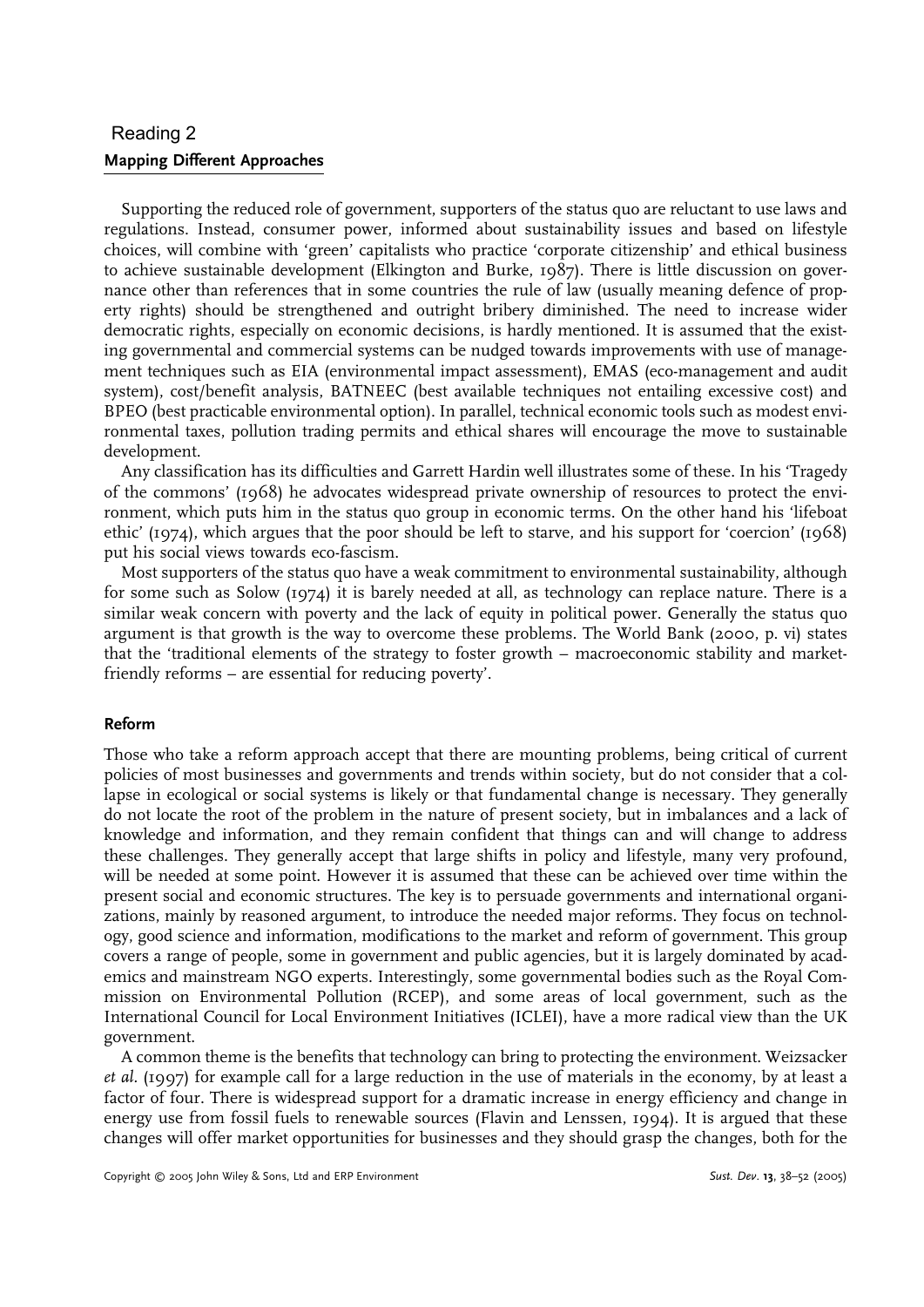Supporting the reduced role of government, supporters of the status quo are reluctant to use laws and regulations. Instead, consumer power, informed about sustainability issues and based on lifestyle choices, will combine with 'green' capitalists who practice 'corporate citizenship' and ethical business to achieve sustainable development (Elkington and Burke, 1987). There is little discussion on governance other than references that in some countries the rule of law (usually meaning defence of property rights) should be strengthened and outright bribery diminished. The need to increase wider democratic rights, especially on economic decisions, is hardly mentioned. It is assumed that the existing governmental and commercial systems can be nudged towards improvements with use of management techniques such as EIA (environmental impact assessment), EMAS (eco-management and audit system), cost/benefit analysis, BATNEEC (best available techniques not entailing excessive cost) and BPEO (best practicable environmental option). In parallel, technical economic tools such as modest environmental taxes, pollution trading permits and ethical shares will encourage the move to sustainable development.

Any classification has its difficulties and Garrett Hardin well illustrates some of these. In his 'Tragedy of the commons' (1968) he advocates widespread private ownership of resources to protect the environment, which puts him in the status quo group in economic terms. On the other hand his 'lifeboat ethic' (1974), which argues that the poor should be left to starve, and his support for 'coercion' (1968) put his social views towards eco-fascism.

Most supporters of the status quo have a weak commitment to environmental sustainability, although for some such as Solow (1974) it is barely needed at all, as technology can replace nature. There is a similar weak concern with poverty and the lack of equity in political power. Generally the status quo argument is that growth is the way to overcome these problems. The World Bank (2000, p. vi) states that the 'traditional elements of the strategy to foster growth – macroeconomic stability and marketfriendly reforms – are essential for reducing poverty'.

#### **Reform**

Those who take a reform approach accept that there are mounting problems, being critical of current policies of most businesses and governments and trends within society, but do not consider that a collapse in ecological or social systems is likely or that fundamental change is necessary. They generally do not locate the root of the problem in the nature of present society, but in imbalances and a lack of knowledge and information, and they remain confident that things can and will change to address these challenges. They generally accept that large shifts in policy and lifestyle, many very profound, will be needed at some point. However it is assumed that these can be achieved over time within the present social and economic structures. The key is to persuade governments and international organizations, mainly by reasoned argument, to introduce the needed major reforms. They focus on technology, good science and information, modifications to the market and reform of government. This group covers a range of people, some in government and public agencies, but it is largely dominated by academics and mainstream NGO experts. Interestingly, some governmental bodies such as the Royal Commission on Environmental Pollution (RCEP), and some areas of local government, such as the International Council for Local Environment Initiatives (ICLEI), have a more radical view than the UK government.

A common theme is the benefits that technology can bring to protecting the environment. Weizsacker *et al.* (1997) for example call for a large reduction in the use of materials in the economy, by at least a factor of four. There is widespread support for a dramatic increase in energy efficiency and change in energy use from fossil fuels to renewable sources (Flavin and Lenssen, 1994). It is argued that these changes will offer market opportunities for businesses and they should grasp the changes, both for the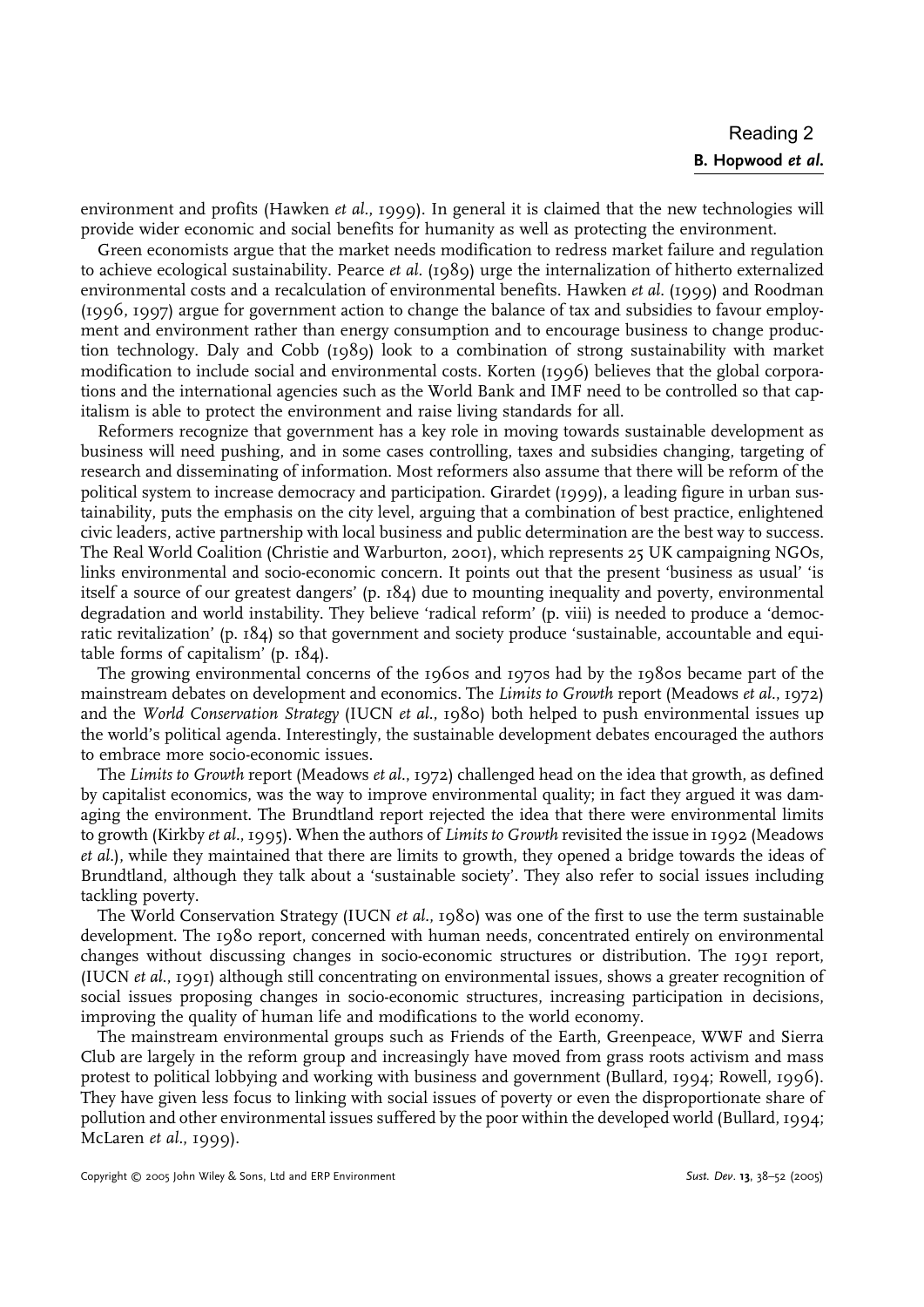environment and profits (Hawken *et al.*, 1999). In general it is claimed that the new technologies will provide wider economic and social benefits for humanity as well as protecting the environment.

Green economists argue that the market needs modification to redress market failure and regulation to achieve ecological sustainability. Pearce *et al.* (1989) urge the internalization of hitherto externalized environmental costs and a recalculation of environmental benefits. Hawken *et al.* (1999) and Roodman (1996, 1997) argue for government action to change the balance of tax and subsidies to favour employment and environment rather than energy consumption and to encourage business to change production technology. Daly and Cobb (1989) look to a combination of strong sustainability with market modification to include social and environmental costs. Korten (1996) believes that the global corporations and the international agencies such as the World Bank and IMF need to be controlled so that capitalism is able to protect the environment and raise living standards for all.

Reformers recognize that government has a key role in moving towards sustainable development as business will need pushing, and in some cases controlling, taxes and subsidies changing, targeting of research and disseminating of information. Most reformers also assume that there will be reform of the political system to increase democracy and participation. Girardet (1999), a leading figure in urban sustainability, puts the emphasis on the city level, arguing that a combination of best practice, enlightened civic leaders, active partnership with local business and public determination are the best way to success. The Real World Coalition (Christie and Warburton, 2001), which represents 25 UK campaigning NGOs, links environmental and socio-economic concern. It points out that the present 'business as usual' 'is itself a source of our greatest dangers' (p. 184) due to mounting inequality and poverty, environmental degradation and world instability. They believe 'radical reform' (p. viii) is needed to produce a 'democratic revitalization' (p. 184) so that government and society produce 'sustainable, accountable and equitable forms of capitalism' (p. 184).

The growing environmental concerns of the 1960s and 1970s had by the 1980s became part of the mainstream debates on development and economics. The *Limits to Growth* report (Meadows *et al.*, 1972) and the *World Conservation Strategy* (IUCN *et al.*, 1980) both helped to push environmental issues up the world's political agenda. Interestingly, the sustainable development debates encouraged the authors to embrace more socio-economic issues.

The *Limits to Growth* report (Meadows *et al.*, 1972) challenged head on the idea that growth, as defined by capitalist economics, was the way to improve environmental quality; in fact they argued it was damaging the environment. The Brundtland report rejected the idea that there were environmental limits to growth (Kirkby *et al.*, 1995). When the authors of *Limits to Growth* revisited the issue in 1992 (Meadows *et al.*), while they maintained that there are limits to growth, they opened a bridge towards the ideas of Brundtland, although they talk about a 'sustainable society'. They also refer to social issues including tackling poverty.

The World Conservation Strategy (IUCN *et al.*, 1980) was one of the first to use the term sustainable development. The 1980 report, concerned with human needs, concentrated entirely on environmental changes without discussing changes in socio-economic structures or distribution. The 1991 report, (IUCN *et al*., 1991) although still concentrating on environmental issues, shows a greater recognition of social issues proposing changes in socio-economic structures, increasing participation in decisions, improving the quality of human life and modifications to the world economy.

The mainstream environmental groups such as Friends of the Earth, Greenpeace, WWF and Sierra Club are largely in the reform group and increasingly have moved from grass roots activism and mass protest to political lobbying and working with business and government (Bullard, 1994; Rowell, 1996). They have given less focus to linking with social issues of poverty or even the disproportionate share of pollution and other environmental issues suffered by the poor within the developed world (Bullard, 1994; McLaren *et al.*, 1999).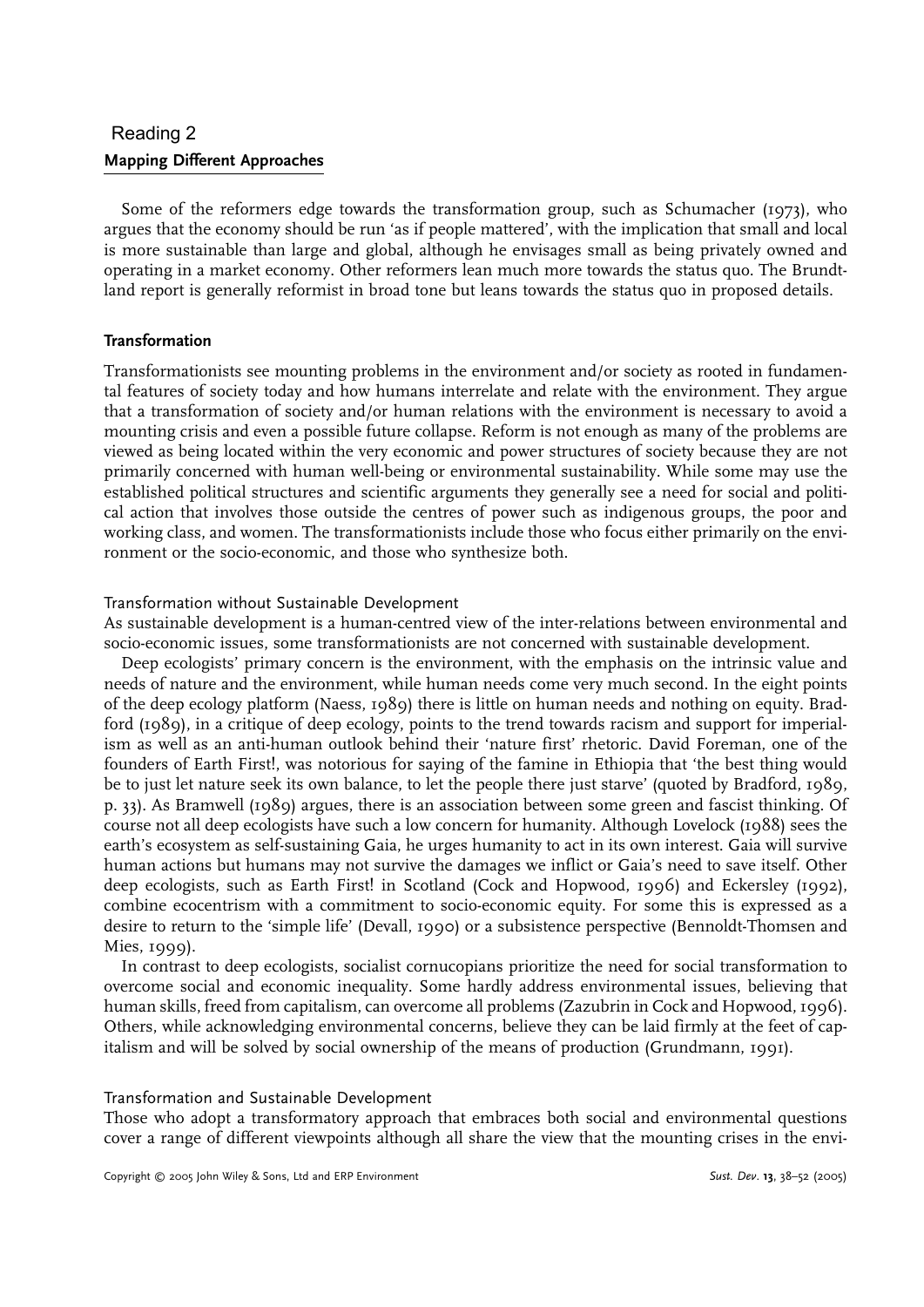Some of the reformers edge towards the transformation group, such as Schumacher (1973), who argues that the economy should be run 'as if people mattered', with the implication that small and local is more sustainable than large and global, although he envisages small as being privately owned and operating in a market economy. Other reformers lean much more towards the status quo. The Brundtland report is generally reformist in broad tone but leans towards the status quo in proposed details.

#### **Transformation**

Transformationists see mounting problems in the environment and/or society as rooted in fundamental features of society today and how humans interrelate and relate with the environment. They argue that a transformation of society and/or human relations with the environment is necessary to avoid a mounting crisis and even a possible future collapse. Reform is not enough as many of the problems are viewed as being located within the very economic and power structures of society because they are not primarily concerned with human well-being or environmental sustainability. While some may use the established political structures and scientific arguments they generally see a need for social and political action that involves those outside the centres of power such as indigenous groups, the poor and working class, and women. The transformationists include those who focus either primarily on the environment or the socio-economic, and those who synthesize both.

#### Transformation without Sustainable Development

As sustainable development is a human-centred view of the inter-relations between environmental and socio-economic issues, some transformationists are not concerned with sustainable development.

Deep ecologists' primary concern is the environment, with the emphasis on the intrinsic value and needs of nature and the environment, while human needs come very much second. In the eight points of the deep ecology platform (Naess, 1989) there is little on human needs and nothing on equity. Bradford (1989), in a critique of deep ecology, points to the trend towards racism and support for imperialism as well as an anti-human outlook behind their 'nature first' rhetoric. David Foreman, one of the founders of Earth First!, was notorious for saying of the famine in Ethiopia that 'the best thing would be to just let nature seek its own balance, to let the people there just starve' (quoted by Bradford, 1989, p. 33). As Bramwell (1989) argues, there is an association between some green and fascist thinking. Of course not all deep ecologists have such a low concern for humanity. Although Lovelock (1988) sees the earth's ecosystem as self-sustaining Gaia, he urges humanity to act in its own interest. Gaia will survive human actions but humans may not survive the damages we inflict or Gaia's need to save itself. Other deep ecologists, such as Earth First! in Scotland (Cock and Hopwood, 1996) and Eckersley (1992), combine ecocentrism with a commitment to socio-economic equity. For some this is expressed as a desire to return to the 'simple life' (Devall, 1990) or a subsistence perspective (Bennoldt-Thomsen and Mies, 1999).

In contrast to deep ecologists, socialist cornucopians prioritize the need for social transformation to overcome social and economic inequality. Some hardly address environmental issues, believing that human skills, freed from capitalism, can overcome all problems (Zazubrin in Cock and Hopwood, 1996). Others, while acknowledging environmental concerns, believe they can be laid firmly at the feet of capitalism and will be solved by social ownership of the means of production (Grundmann, 1991).

#### Transformation and Sustainable Development

Those who adopt a transformatory approach that embraces both social and environmental questions cover a range of different viewpoints although all share the view that the mounting crises in the envi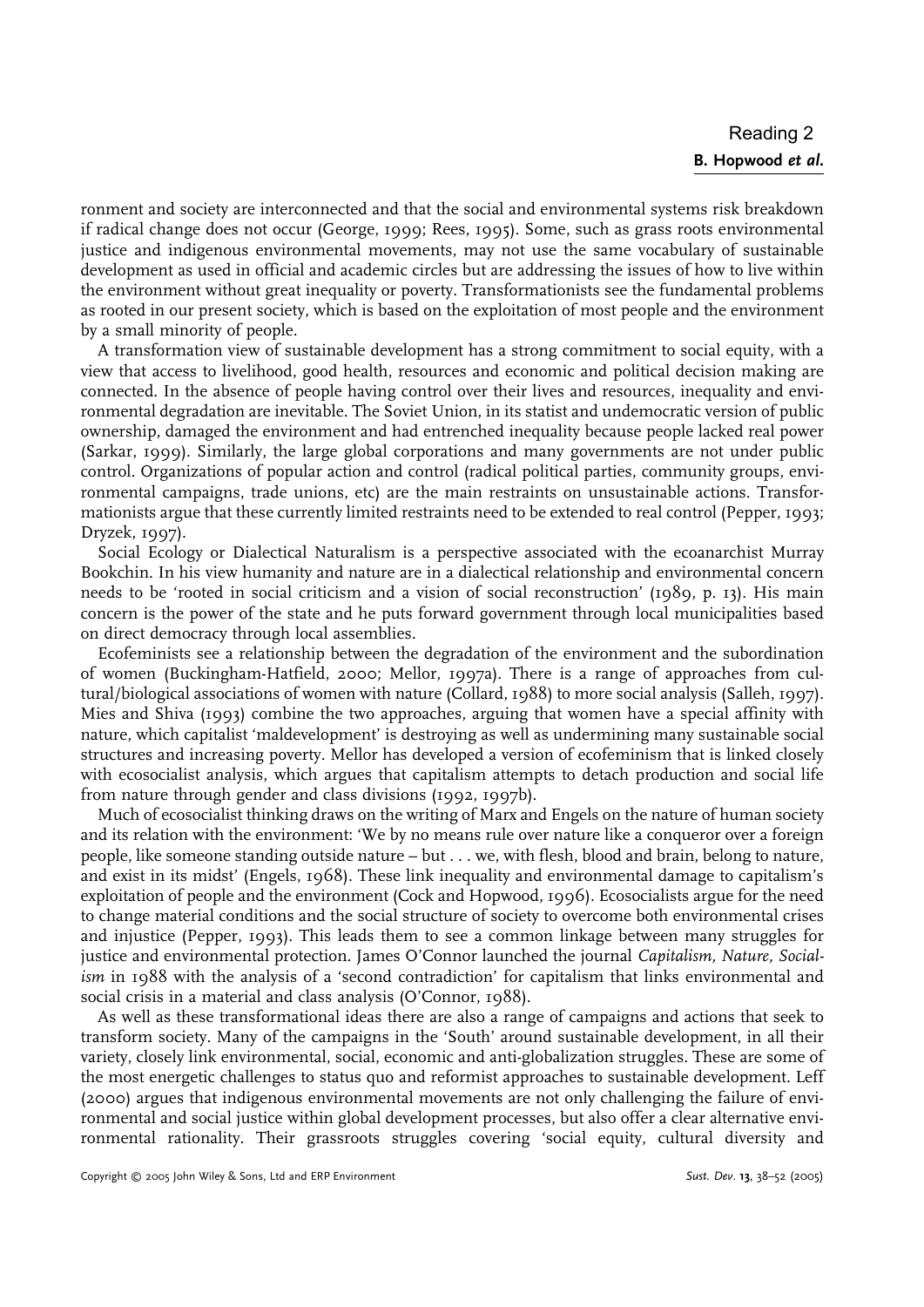ronment and society are interconnected and that the social and environmental systems risk breakdown if radical change does not occur (George, 1999; Rees, 1995). Some, such as grass roots environmental justice and indigenous environmental movements, may not use the same vocabulary of sustainable development as used in official and academic circles but are addressing the issues of how to live within the environment without great inequality or poverty. Transformationists see the fundamental problems as rooted in our present society, which is based on the exploitation of most people and the environment by a small minority of people.

A transformation view of sustainable development has a strong commitment to social equity, with a view that access to livelihood, good health, resources and economic and political decision making are connected. In the absence of people having control over their lives and resources, inequality and environmental degradation are inevitable. The Soviet Union, in its statist and undemocratic version of public ownership, damaged the environment and had entrenched inequality because people lacked real power (Sarkar, 1999). Similarly, the large global corporations and many governments are not under public control. Organizations of popular action and control (radical political parties, community groups, environmental campaigns, trade unions, etc) are the main restraints on unsustainable actions. Transformationists argue that these currently limited restraints need to be extended to real control (Pepper, 1993; Dryzek, 1997).

Social Ecology or Dialectical Naturalism is a perspective associated with the ecoanarchist Murray Bookchin. In his view humanity and nature are in a dialectical relationship and environmental concern needs to be 'rooted in social criticism and a vision of social reconstruction' (1989, p. 13). His main concern is the power of the state and he puts forward government through local municipalities based on direct democracy through local assemblies.

Ecofeminists see a relationship between the degradation of the environment and the subordination of women (Buckingham-Hatfield, 2000; Mellor, 1997a). There is a range of approaches from cultural/biological associations of women with nature (Collard, 1988) to more social analysis (Salleh, 1997). Mies and Shiva (1993) combine the two approaches, arguing that women have a special affinity with nature, which capitalist 'maldevelopment' is destroying as well as undermining many sustainable social structures and increasing poverty. Mellor has developed a version of ecofeminism that is linked closely with ecosocialist analysis, which argues that capitalism attempts to detach production and social life from nature through gender and class divisions (1992, 1997b).

Much of ecosocialist thinking draws on the writing of Marx and Engels on the nature of human society and its relation with the environment: 'We by no means rule over nature like a conqueror over a foreign people, like someone standing outside nature – but . . . we, with flesh, blood and brain, belong to nature, and exist in its midst' (Engels, 1968). These link inequality and environmental damage to capitalism's exploitation of people and the environment (Cock and Hopwood, 1996). Ecosocialists argue for the need to change material conditions and the social structure of society to overcome both environmental crises and injustice (Pepper, 1993). This leads them to see a common linkage between many struggles for justice and environmental protection. James O'Connor launched the journal *Capitalism, Nature, Socialism* in 1988 with the analysis of a 'second contradiction' for capitalism that links environmental and social crisis in a material and class analysis (O'Connor, 1988).

As well as these transformational ideas there are also a range of campaigns and actions that seek to transform society. Many of the campaigns in the 'South' around sustainable development, in all their variety, closely link environmental, social, economic and anti-globalization struggles. These are some of the most energetic challenges to status quo and reformist approaches to sustainable development. Leff (2000) argues that indigenous environmental movements are not only challenging the failure of environmental and social justice within global development processes, but also offer a clear alternative environmental rationality. Their grassroots struggles covering 'social equity, cultural diversity and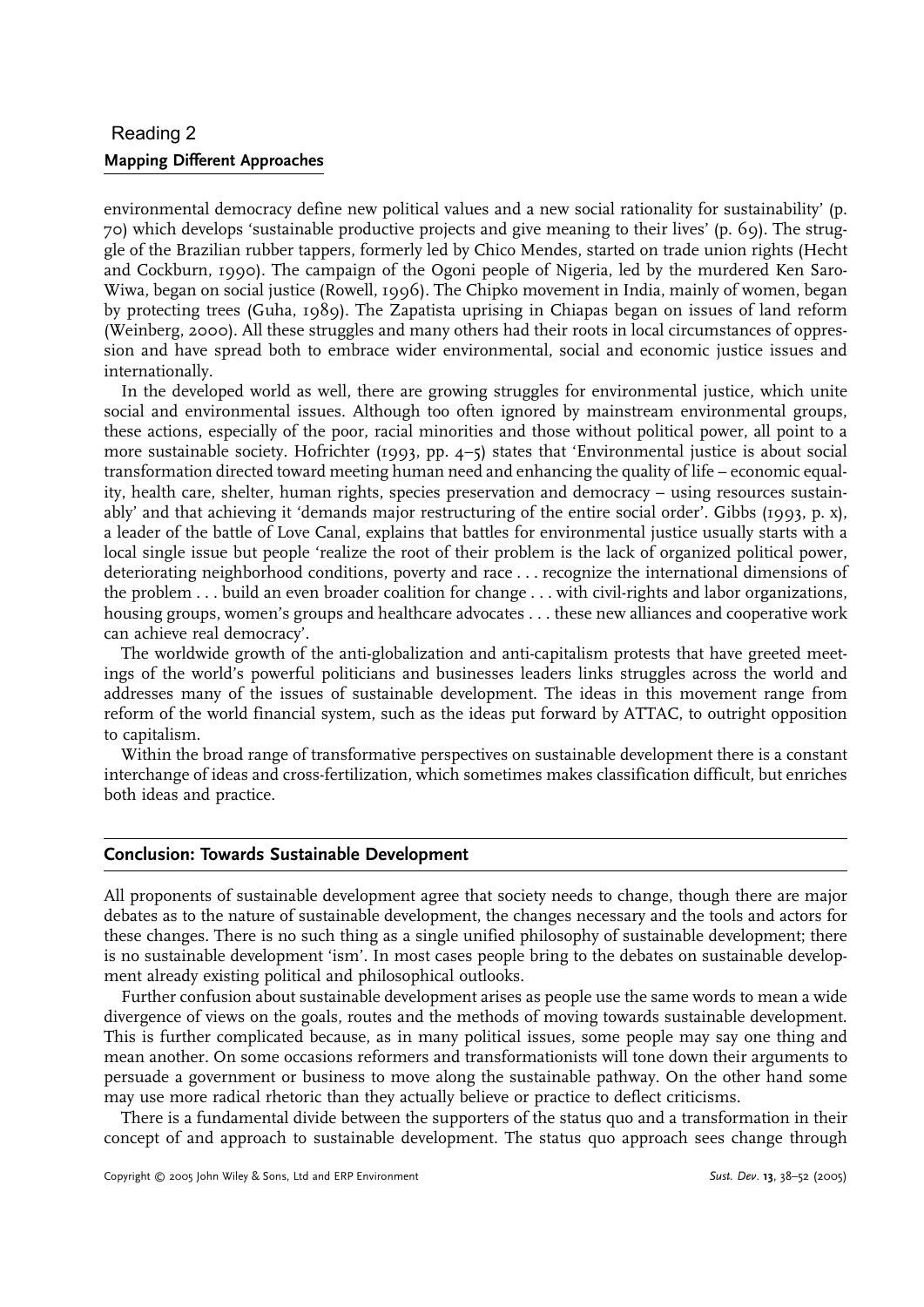environmental democracy define new political values and a new social rationality for sustainability' (p. 70) which develops 'sustainable productive projects and give meaning to their lives' (p. 69). The struggle of the Brazilian rubber tappers, formerly led by Chico Mendes, started on trade union rights (Hecht and Cockburn, 1990). The campaign of the Ogoni people of Nigeria, led by the murdered Ken Saro-Wiwa, began on social justice (Rowell, 1996). The Chipko movement in India, mainly of women, began by protecting trees (Guha, 1989). The Zapatista uprising in Chiapas began on issues of land reform (Weinberg, 2000). All these struggles and many others had their roots in local circumstances of oppression and have spread both to embrace wider environmental, social and economic justice issues and internationally.

In the developed world as well, there are growing struggles for environmental justice, which unite social and environmental issues. Although too often ignored by mainstream environmental groups, these actions, especially of the poor, racial minorities and those without political power, all point to a more sustainable society. Hofrichter (1993, pp. 4–5) states that 'Environmental justice is about social transformation directed toward meeting human need and enhancing the quality of life – economic equality, health care, shelter, human rights, species preservation and democracy – using resources sustainably' and that achieving it 'demands major restructuring of the entire social order'. Gibbs (1993, p. x), a leader of the battle of Love Canal, explains that battles for environmental justice usually starts with a local single issue but people 'realize the root of their problem is the lack of organized political power, deteriorating neighborhood conditions, poverty and race... recognize the international dimensions of the problem . . . build an even broader coalition for change . . . with civil-rights and labor organizations, housing groups, women's groups and healthcare advocates . . . these new alliances and cooperative work can achieve real democracy'.

The worldwide growth of the anti-globalization and anti-capitalism protests that have greeted meetings of the world's powerful politicians and businesses leaders links struggles across the world and addresses many of the issues of sustainable development. The ideas in this movement range from reform of the world financial system, such as the ideas put forward by ATTAC, to outright opposition to capitalism.

Within the broad range of transformative perspectives on sustainable development there is a constant interchange of ideas and cross-fertilization, which sometimes makes classification difficult, but enriches both ideas and practice.

#### **Conclusion: Towards Sustainable Development**

All proponents of sustainable development agree that society needs to change, though there are major debates as to the nature of sustainable development, the changes necessary and the tools and actors for these changes. There is no such thing as a single unified philosophy of sustainable development; there is no sustainable development 'ism'. In most cases people bring to the debates on sustainable development already existing political and philosophical outlooks.

Further confusion about sustainable development arises as people use the same words to mean a wide divergence of views on the goals, routes and the methods of moving towards sustainable development. This is further complicated because, as in many political issues, some people may say one thing and mean another. On some occasions reformers and transformationists will tone down their arguments to persuade a government or business to move along the sustainable pathway. On the other hand some may use more radical rhetoric than they actually believe or practice to deflect criticisms.

There is a fundamental divide between the supporters of the status quo and a transformation in their concept of and approach to sustainable development. The status quo approach sees change through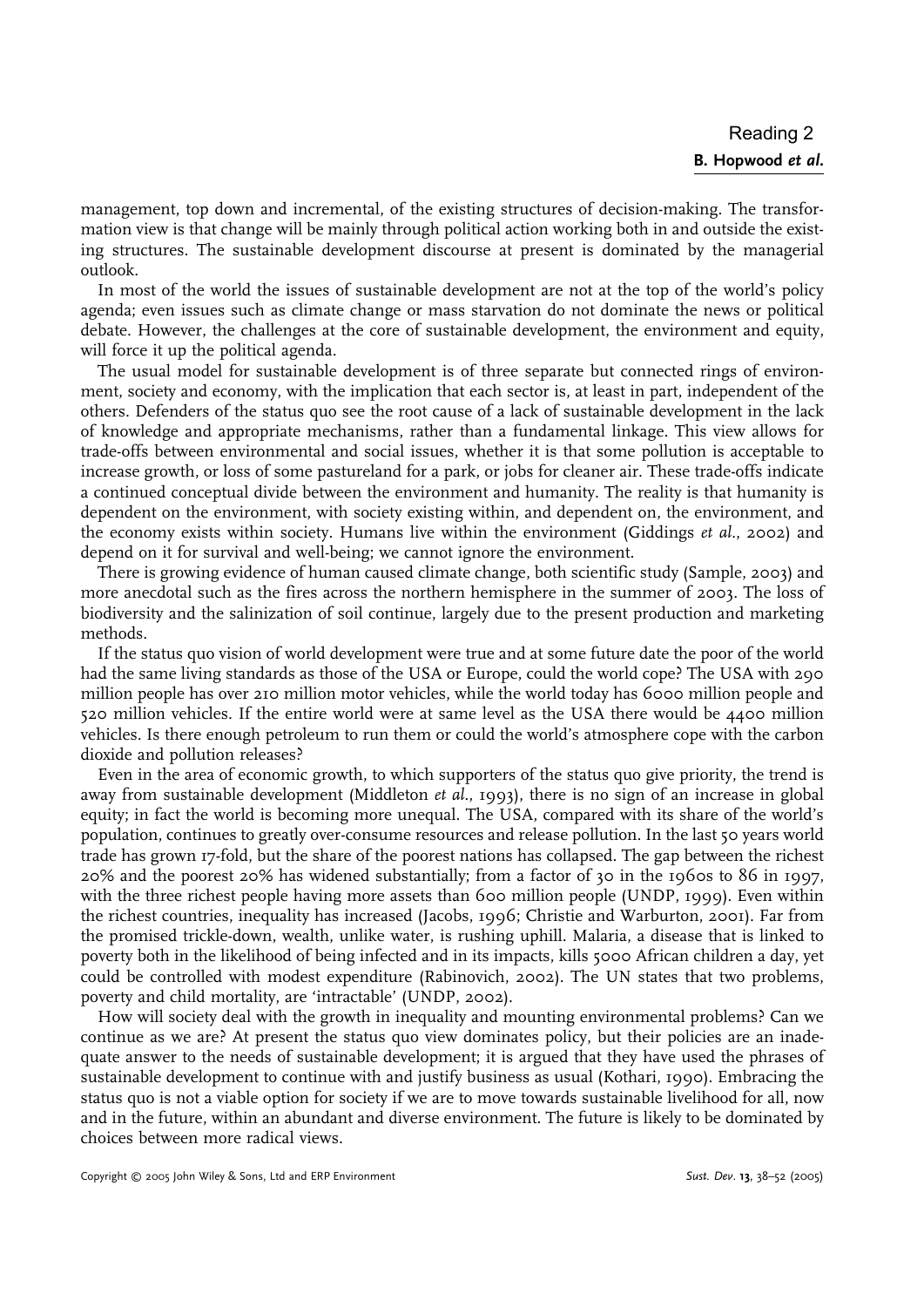management, top down and incremental, of the existing structures of decision-making. The transformation view is that change will be mainly through political action working both in and outside the existing structures. The sustainable development discourse at present is dominated by the managerial outlook.

In most of the world the issues of sustainable development are not at the top of the world's policy agenda; even issues such as climate change or mass starvation do not dominate the news or political debate. However, the challenges at the core of sustainable development, the environment and equity, will force it up the political agenda.

The usual model for sustainable development is of three separate but connected rings of environment, society and economy, with the implication that each sector is, at least in part, independent of the others. Defenders of the status quo see the root cause of a lack of sustainable development in the lack of knowledge and appropriate mechanisms, rather than a fundamental linkage. This view allows for trade-offs between environmental and social issues, whether it is that some pollution is acceptable to increase growth, or loss of some pastureland for a park, or jobs for cleaner air. These trade-offs indicate a continued conceptual divide between the environment and humanity. The reality is that humanity is dependent on the environment, with society existing within, and dependent on, the environment, and the economy exists within society. Humans live within the environment (Giddings *et al.*, 2002) and depend on it for survival and well-being; we cannot ignore the environment.

There is growing evidence of human caused climate change, both scientific study (Sample, 2003) and more anecdotal such as the fires across the northern hemisphere in the summer of 2003. The loss of biodiversity and the salinization of soil continue, largely due to the present production and marketing methods.

If the status quo vision of world development were true and at some future date the poor of the world had the same living standards as those of the USA or Europe, could the world cope? The USA with 290 million people has over 210 million motor vehicles, while the world today has 6000 million people and 520 million vehicles. If the entire world were at same level as the USA there would be 4400 million vehicles. Is there enough petroleum to run them or could the world's atmosphere cope with the carbon dioxide and pollution releases?

Even in the area of economic growth, to which supporters of the status quo give priority, the trend is away from sustainable development (Middleton *et al.*, 1993), there is no sign of an increase in global equity; in fact the world is becoming more unequal. The USA, compared with its share of the world's population, continues to greatly over-consume resources and release pollution. In the last 50 years world trade has grown 17-fold, but the share of the poorest nations has collapsed. The gap between the richest 20% and the poorest 20% has widened substantially; from a factor of 30 in the 1960s to 86 in 1997, with the three richest people having more assets than 600 million people (UNDP, 1999). Even within the richest countries, inequality has increased (Jacobs, 1996; Christie and Warburton, 2001). Far from the promised trickle-down, wealth, unlike water, is rushing uphill. Malaria, a disease that is linked to poverty both in the likelihood of being infected and in its impacts, kills 5000 African children a day, yet could be controlled with modest expenditure (Rabinovich, 2002). The UN states that two problems, poverty and child mortality, are 'intractable' (UNDP, 2002).

How will society deal with the growth in inequality and mounting environmental problems? Can we continue as we are? At present the status quo view dominates policy, but their policies are an inadequate answer to the needs of sustainable development; it is argued that they have used the phrases of sustainable development to continue with and justify business as usual (Kothari, 1990). Embracing the status quo is not a viable option for society if we are to move towards sustainable livelihood for all, now and in the future, within an abundant and diverse environment. The future is likely to be dominated by choices between more radical views.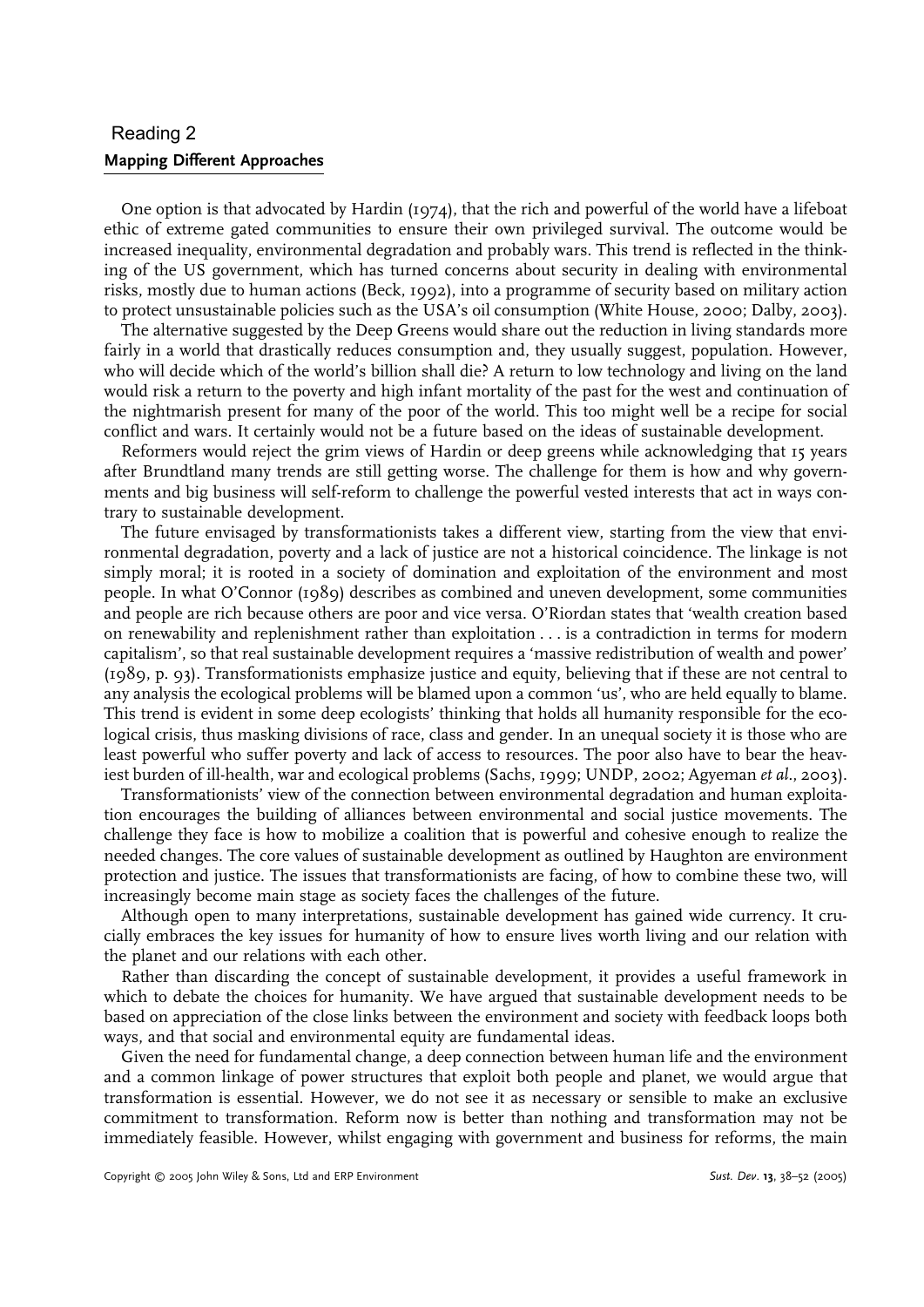One option is that advocated by Hardin (1974), that the rich and powerful of the world have a lifeboat ethic of extreme gated communities to ensure their own privileged survival. The outcome would be increased inequality, environmental degradation and probably wars. This trend is reflected in the thinking of the US government, which has turned concerns about security in dealing with environmental risks, mostly due to human actions (Beck, 1992), into a programme of security based on military action to protect unsustainable policies such as the USA's oil consumption (White House, 2000; Dalby, 2003).

The alternative suggested by the Deep Greens would share out the reduction in living standards more fairly in a world that drastically reduces consumption and, they usually suggest, population. However, who will decide which of the world's billion shall die? A return to low technology and living on the land would risk a return to the poverty and high infant mortality of the past for the west and continuation of the nightmarish present for many of the poor of the world. This too might well be a recipe for social conflict and wars. It certainly would not be a future based on the ideas of sustainable development.

Reformers would reject the grim views of Hardin or deep greens while acknowledging that 15 years after Brundtland many trends are still getting worse. The challenge for them is how and why governments and big business will self-reform to challenge the powerful vested interests that act in ways contrary to sustainable development.

The future envisaged by transformationists takes a different view, starting from the view that environmental degradation, poverty and a lack of justice are not a historical coincidence. The linkage is not simply moral; it is rooted in a society of domination and exploitation of the environment and most people. In what O'Connor (1989) describes as combined and uneven development, some communities and people are rich because others are poor and vice versa. O'Riordan states that 'wealth creation based on renewability and replenishment rather than exploitation . . . is a contradiction in terms for modern capitalism', so that real sustainable development requires a 'massive redistribution of wealth and power' (1989, p. 93). Transformationists emphasize justice and equity, believing that if these are not central to any analysis the ecological problems will be blamed upon a common 'us', who are held equally to blame. This trend is evident in some deep ecologists' thinking that holds all humanity responsible for the ecological crisis, thus masking divisions of race, class and gender. In an unequal society it is those who are least powerful who suffer poverty and lack of access to resources. The poor also have to bear the heaviest burden of ill-health, war and ecological problems (Sachs, 1999; UNDP, 2002; Agyeman *et al.*, 2003).

Transformationists' view of the connection between environmental degradation and human exploitation encourages the building of alliances between environmental and social justice movements. The challenge they face is how to mobilize a coalition that is powerful and cohesive enough to realize the needed changes. The core values of sustainable development as outlined by Haughton are environment protection and justice. The issues that transformationists are facing, of how to combine these two, will increasingly become main stage as society faces the challenges of the future.

Although open to many interpretations, sustainable development has gained wide currency. It crucially embraces the key issues for humanity of how to ensure lives worth living and our relation with the planet and our relations with each other.

Rather than discarding the concept of sustainable development, it provides a useful framework in which to debate the choices for humanity. We have argued that sustainable development needs to be based on appreciation of the close links between the environment and society with feedback loops both ways, and that social and environmental equity are fundamental ideas.

Given the need for fundamental change, a deep connection between human life and the environment and a common linkage of power structures that exploit both people and planet, we would argue that transformation is essential. However, we do not see it as necessary or sensible to make an exclusive commitment to transformation. Reform now is better than nothing and transformation may not be immediately feasible. However, whilst engaging with government and business for reforms, the main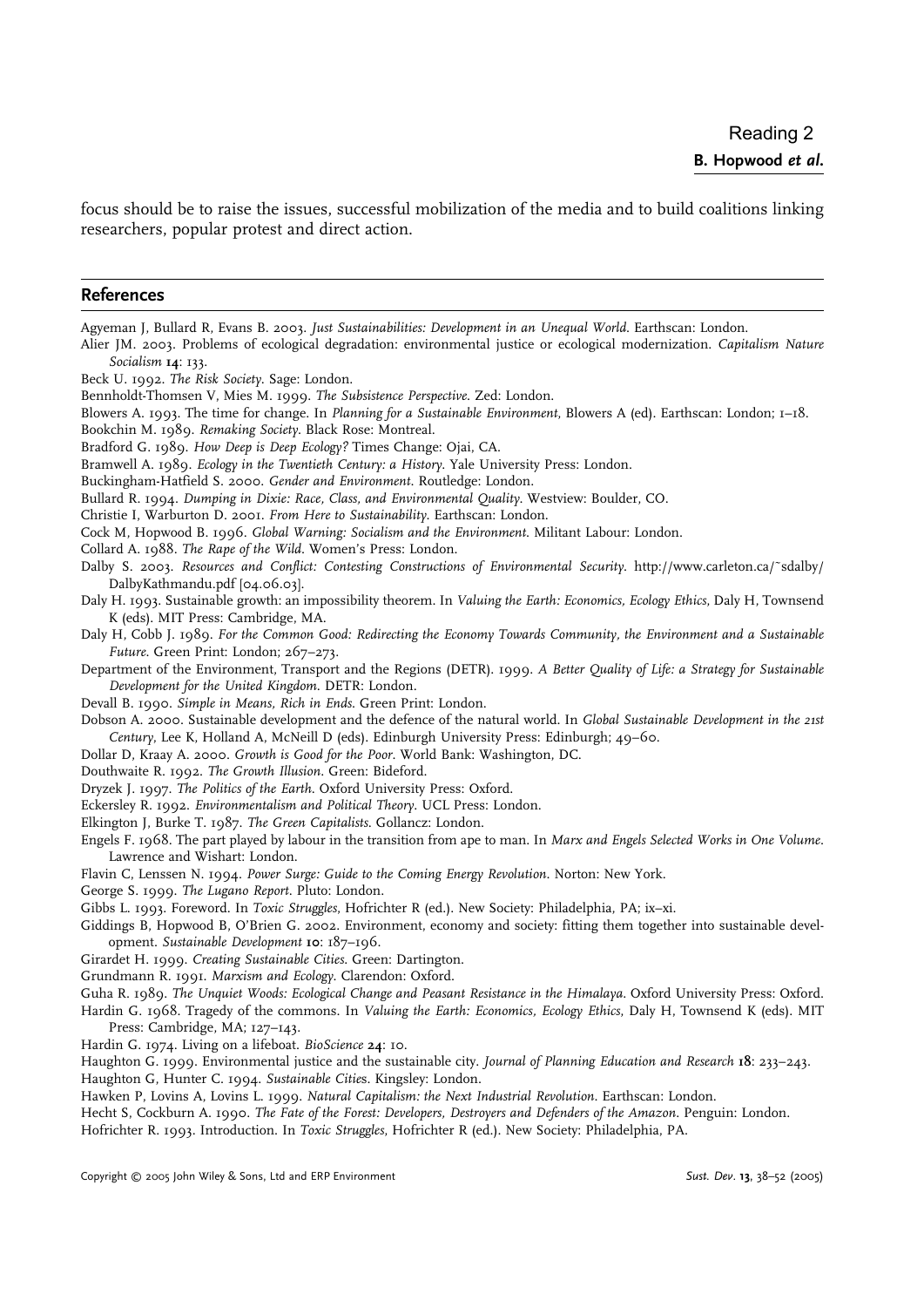focus should be to raise the issues, successful mobilization of the media and to build coalitions linking researchers, popular protest and direct action.

#### **References**

Agyeman J, Bullard R, Evans B. 2003. *Just Sustainabilities: Development in an Unequal World*. Earthscan: London.

Alier JM. 2003. Problems of ecological degradation: environmental justice or ecological modernization. *Capitalism Nature Socialism* **14**: 133.

Beck U. 1992. *The Risk Society*. Sage: London.

Bennholdt-Thomsen V, Mies M. 1999. *The Subsistence Perspective*. Zed: London.

Blowers A. 1993. The time for change. In *Planning for a Sustainable Environment*, Blowers A (ed). Earthscan: London; 1–18. Bookchin M. 1989. *Remaking Society*. Black Rose: Montreal.

Bradford G. 1989. *How Deep is Deep Ecology?* Times Change: Ojai, CA.

Bramwell A. 1989. *Ecology in the Twentieth Century: a History*. Yale University Press: London.

Buckingham-Hatfield S. 2000. *Gender and Environment*. Routledge: London.

Bullard R. 1994. *Dumping in Dixie: Race, Class, and Environmental Quality*. Westview: Boulder, CO.

Christie I, Warburton D. 2001. *From Here to Sustainability*. Earthscan: London.

Cock M, Hopwood B. 1996. *Global Warning: Socialism and the Environment*. Militant Labour: London.

Collard A. 1988. *The Rape of the Wild*. Women's Press: London.

Dalby S. 2003. *Resources and Conflict: Contesting Constructions of Environmental Security*. http://www.carleton.ca/~sdalby/ DalbyKathmandu.pdf [04.06.03].

Daly H. 1993. Sustainable growth: an impossibility theorem. In *Valuing the Earth: Economics, Ecology Ethics*, Daly H, Townsend K (eds). MIT Press: Cambridge, MA.

Daly H, Cobb J. 1989. *For the Common Good: Redirecting the Economy Towards Community, the Environment and a Sustainable* Future. Green Print: London; 267-273.

Department of the Environment, Transport and the Regions (DETR). 1999. *A Better Quality of Life: a Strategy for Sustainable Development for the United Kingdom*. DETR: London.

Devall B. 1990. *Simple in Means, Rich in Ends*. Green Print: London.

Dobson A. 2000. Sustainable development and the defence of the natural world. In *Global Sustainable Development in the 21st Century*, Lee K, Holland A, McNeill D (eds). Edinburgh University Press: Edinburgh; 49–60.

Dollar D, Kraay A. 2000. *Growth is Good for the Poor*. World Bank: Washington, DC.

Douthwaite R. 1992. *The Growth Illusion*. Green: Bideford.

Dryzek J. 1997. *The Politics of the Earth*. Oxford University Press: Oxford.

Eckersley R. 1992. *Environmentalism and Political Theory*. UCL Press: London.

Elkington J, Burke T. 1987. *The Green Capitalists*. Gollancz: London.

Engels F. 1968. The part played by labour in the transition from ape to man. In *Marx and Engels Selected Works in One Volume*. Lawrence and Wishart: London.

Flavin C, Lenssen N. 1994. *Power Surge: Guide to the Coming Energy Revolution*. Norton: New York.

George S. 1999. *The Lugano Report*. Pluto: London.

Gibbs L. 1993. Foreword. In *Toxic Struggles*, Hofrichter R (ed.). New Society: Philadelphia, PA; ix–xi.

Giddings B, Hopwood B, O'Brien G. 2002. Environment, economy and society: fitting them together into sustainable development. *Sustainable Development* **10**: 187–196.

Girardet H. 1999. *Creating Sustainable Cities*. Green: Dartington.

Grundmann R. 1991. *Marxism and Ecology*. Clarendon: Oxford.

Guha R. 1989. *The Unquiet Woods: Ecological Change and Peasant Resistance in the Himalaya*. Oxford University Press: Oxford. Hardin G. 1968. Tragedy of the commons. In *Valuing the Earth: Economics, Ecology Ethics*, Daly H, Townsend K (eds). MIT

Press: Cambridge, MA; 127-143.

Hardin G. 1974. Living on a lifeboat. *BioScience* **24**: 10.

Haughton G. 1999. Environmental justice and the sustainable city. *Journal of Planning Education and Research* **18**: 233–243. Haughton G, Hunter C. 1994. *Sustainable Citie*s. Kingsley: London.

Hawken P, Lovins A, Lovins L. 1999. *Natural Capitalism: the Next Industrial Revolution*. Earthscan: London.

Hecht S, Cockburn A. 1990. *The Fate of the Forest: Developers, Destroyers and Defenders of the Amazon*. Penguin: London. Hofrichter R. 1993. Introduction. In *Toxic Struggles*, Hofrichter R (ed.). New Society: Philadelphia, PA.

Copyright © 2005 John Wiley & Sons, Ltd and ERP Environment *Sust. Dev*. **13**, 38–52 (2005)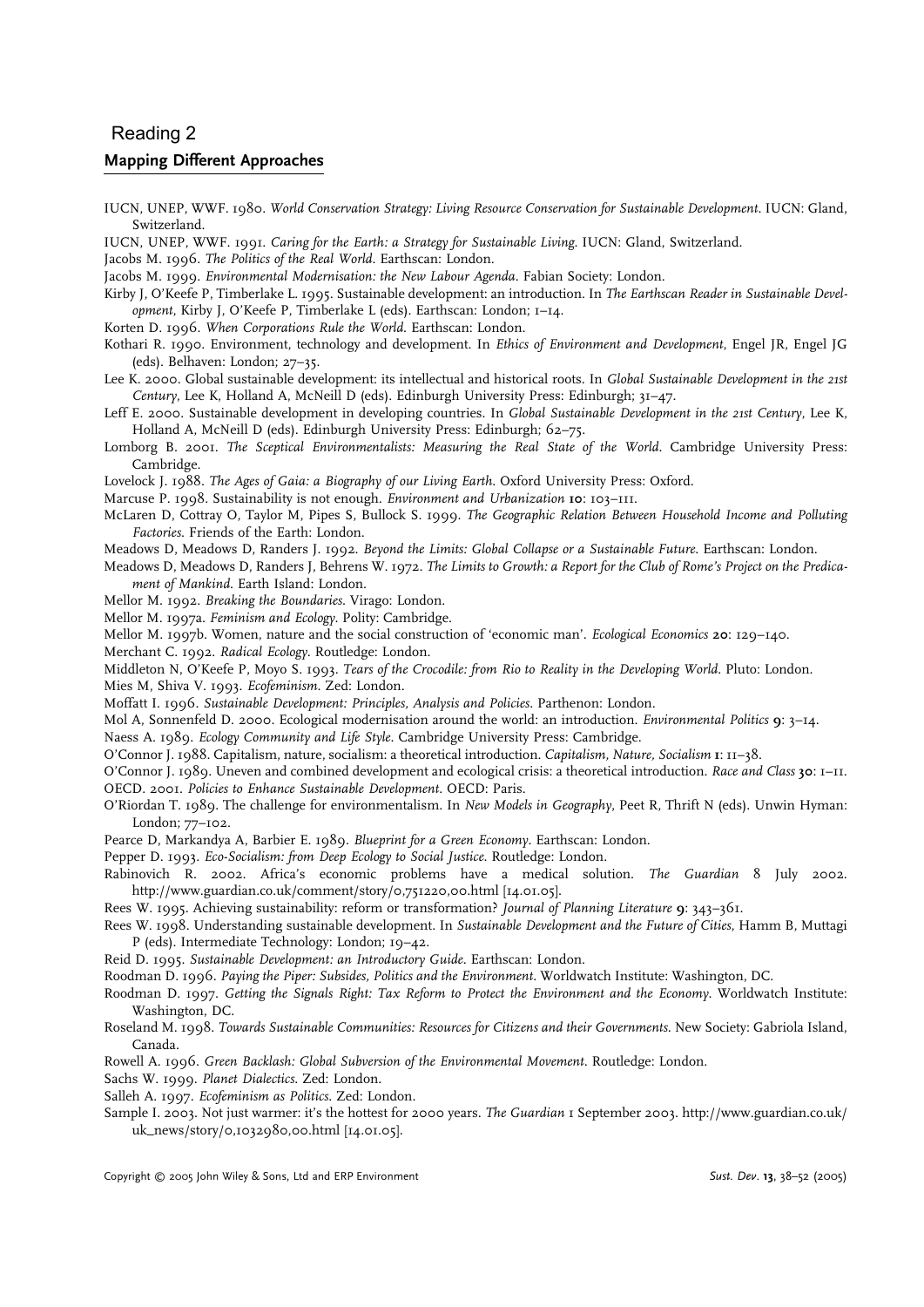## Reading 2

#### **Mapping Different Approaches**

- IUCN, UNEP, WWF. 1980. *World Conservation Strategy: Living Resource Conservation for Sustainable Development*. IUCN: Gland, Switzerland.
- IUCN, UNEP, WWF. 1991. *Caring for the Earth: a Strategy for Sustainable Living*. IUCN: Gland, Switzerland.
- Jacobs M. 1996. *The Politics of the Real World*. Earthscan: London.
- Jacobs M. 1999. *Environmental Modernisation: the New Labour Agenda*. Fabian Society: London.
- Kirby J, O'Keefe P, Timberlake L. 1995. Sustainable development: an introduction. In *The Earthscan Reader in Sustainable Development*, Kirby J, O'Keefe P, Timberlake L (eds). Earthscan: London; 1–14.
- Korten D. 1996. *When Corporations Rule the World*. Earthscan: London.
- Kothari R. 1990. Environment, technology and development. In *Ethics of Environment and Development*, Engel JR, Engel JG (eds). Belhaven: London; 27–35.
- Lee K. 2000. Global sustainable development: its intellectual and historical roots. In *Global Sustainable Development in the 21st Century*, Lee K, Holland A, McNeill D (eds). Edinburgh University Press: Edinburgh; 31–47.
- Leff E. 2000. Sustainable development in developing countries. In *Global Sustainable Development in the 21st Century*, Lee K, Holland A, McNeill D (eds). Edinburgh University Press: Edinburgh; 62–75.
- Lomborg B. 2001. *The Sceptical Environmentalists: Measuring the Real State of the World*. Cambridge University Press: Cambridge.
- Lovelock J. 1988. *The Ages of Gaia: a Biography of our Living Earth*. Oxford University Press: Oxford.
- Marcuse P. 1998. Sustainability is not enough. *Environment and Urbanization* **10**: 103–111.
- McLaren D, Cottray O, Taylor M, Pipes S, Bullock S. 1999. *The Geographic Relation Between Household Income and Polluting Factories*. Friends of the Earth: London.
- Meadows D, Meadows D, Randers J. 1992. *Beyond the Limits: Global Collapse or a Sustainable Future*. Earthscan: London.
- Meadows D, Meadows D, Randers J, Behrens W. 1972. *The Limits to Growth: a Report for the Club of Rome's Project on the Predicament of Mankind*. Earth Island: London.
- Mellor M. 1992. *Breaking the Boundaries*. Virago: London.
- Mellor M. 1997a. *Feminism and Ecology*. Polity: Cambridge.
- Mellor M. 1997b. Women, nature and the social construction of 'economic man'. *Ecological Economics* **20**: 129–140.
- Merchant C. 1992. *Radical Ecology*. Routledge: London.
- Middleton N, O'Keefe P, Moyo S. 1993. *Tears of the Crocodile: from Rio to Reality in the Developing World*. Pluto: London.
- Mies M, Shiva V. 1993. *Ecofeminism*. Zed: London.
- Moffatt I. 1996. *Sustainable Development: Principles, Analysis and Policies*. Parthenon: London.
- Mol A, Sonnenfeld D. 2000. Ecological modernisation around the world: an introduction. *Environmental Politics* **9**: 3–14.
- Naess A. 1989. *Ecology Community and Life Style*. Cambridge University Press: Cambridge. O'Connor J. 1988. Capitalism, nature, socialism: a theoretical introduction. *Capitalism, Nature, Socialism* **1**: 11–38.
- O'Connor J. 1989. Uneven and combined development and ecological crisis: a theoretical introduction. *Race and Class* **30**: 1–11. OECD. 2001. *Policies to Enhance Sustainable Development*. OECD: Paris.
- O'Riordan T. 1989. The challenge for environmentalism. In *New Models in Geography*, Peet R, Thrift N (eds). Unwin Hyman: London; 77–102.
- Pearce D, Markandya A, Barbier E. 1989. *Blueprint for a Green Economy*. Earthscan: London.
- Pepper D. 1993. *Eco-Socialism: from Deep Ecology to Social Justice*. Routledge: London.
- Rabinovich R. 2002. Africa's economic problems have a medical solution. *The Guardian* 8 July 2002. http://www.guardian.co.uk/comment/story/0,751220,00.html [14.01.05].
- Rees W. 1995. Achieving sustainability: reform or transformation? *Journal of Planning Literature* **9**: 343–361.
- Rees W. 1998. Understanding sustainable development. In *Sustainable Development and the Future of Cities*, Hamm B, Muttagi P (eds). Intermediate Technology: London; 19–42.
- Reid D. 1995. *Sustainable Development: an Introductory Guide*. Earthscan: London.
- Roodman D. 1996. *Paying the Piper: Subsides, Politics and the Environment*. Worldwatch Institute: Washington, DC.

Roodman D. 1997. *Getting the Signals Right: Tax Reform to Protect the Environment and the Economy*. Worldwatch Institute: Washington, DC.

Roseland M. 1998. *Towards Sustainable Communities: Resources for Citizens and their Governments*. New Society: Gabriola Island, Canada.

Rowell A. 1996. *Green Backlash: Global Subversion of the Environmental Movement*. Routledge: London.

- Sachs W. 1999. *Planet Dialectics*. Zed: London.
- Salleh A. 1997. *Ecofeminism as Politics*. Zed: London.
- Sample I. 2003. Not just warmer: it's the hottest for 2000 years. *The Guardian* 1 September 2003. http://www.guardian.co.uk/ uk\_news/story/0,1032980,00.html [14.01.05].